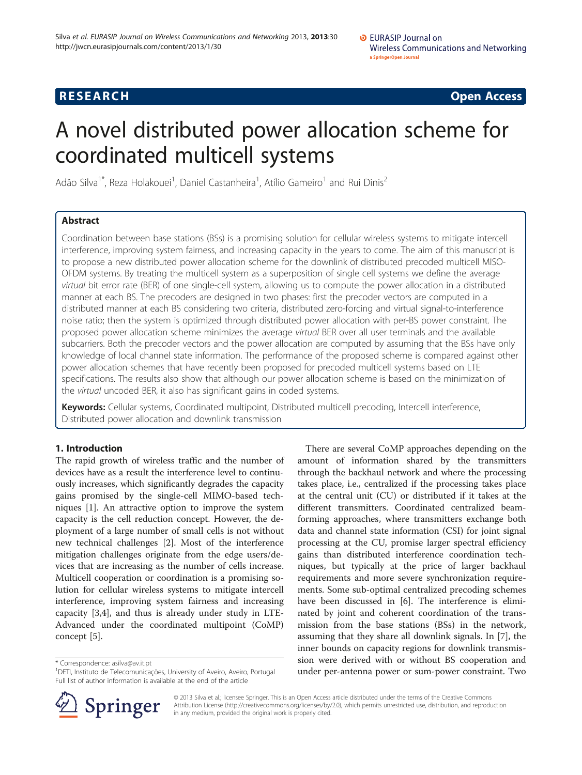## **RESEARCH CHINESE ARCH CHINESE ARCH CHINESE ARCH <b>CHINESE ARCH**

# A novel distributed power allocation scheme for coordinated multicell systems

Adão Silva<sup>1\*</sup>, Reza Holakouei<sup>1</sup>, Daniel Castanheira<sup>1</sup>, Atílio Gameiro<sup>1</sup> and Rui Dinis<sup>2</sup>

### Abstract

Coordination between base stations (BSs) is a promising solution for cellular wireless systems to mitigate intercell interference, improving system fairness, and increasing capacity in the years to come. The aim of this manuscript is to propose a new distributed power allocation scheme for the downlink of distributed precoded multicell MISO-OFDM systems. By treating the multicell system as a superposition of single cell systems we define the average virtual bit error rate (BER) of one single-cell system, allowing us to compute the power allocation in a distributed manner at each BS. The precoders are designed in two phases: first the precoder vectors are computed in a distributed manner at each BS considering two criteria, distributed zero-forcing and virtual signal-to-interference noise ratio; then the system is optimized through distributed power allocation with per-BS power constraint. The proposed power allocation scheme minimizes the average virtual BER over all user terminals and the available subcarriers. Both the precoder vectors and the power allocation are computed by assuming that the BSs have only knowledge of local channel state information. The performance of the proposed scheme is compared against other power allocation schemes that have recently been proposed for precoded multicell systems based on LTE specifications. The results also show that although our power allocation scheme is based on the minimization of the virtual uncoded BER, it also has significant gains in coded systems.

Keywords: Cellular systems, Coordinated multipoint, Distributed multicell precoding, Intercell interference, Distributed power allocation and downlink transmission

#### 1. Introduction

The rapid growth of wireless traffic and the number of devices have as a result the interference level to continuously increases, which significantly degrades the capacity gains promised by the single-cell MIMO-based techniques [[1\]](#page-10-0). An attractive option to improve the system capacity is the cell reduction concept. However, the deployment of a large number of small cells is not without new technical challenges [[2\]](#page-10-0). Most of the interference mitigation challenges originate from the edge users/devices that are increasing as the number of cells increase. Multicell cooperation or coordination is a promising solution for cellular wireless systems to mitigate intercell interference, improving system fairness and increasing capacity [\[3,4\]](#page-10-0), and thus is already under study in LTE-Advanced under the coordinated multipoint (CoMP) concept [[5\]](#page-10-0).

\* Correspondence: [asilva@av.it.pt](mailto:asilva@av.it.pt) <sup>1</sup>

<sup>&</sup>lt;sup>1</sup>DETI, Instituto de Telecomunicações, University of Aveiro, Aveiro, Portugal Full list of author information is available at the end of the article





© 2013 Silva et al.; licensee Springer. This is an Open Access article distributed under the terms of the Creative Commons Attribution License [\(http://creativecommons.org/licenses/by/2.0\)](http://creativecommons.org/licenses/by/2.0), which permits unrestricted use, distribution, and reproduction in any medium, provided the original work is properly cited.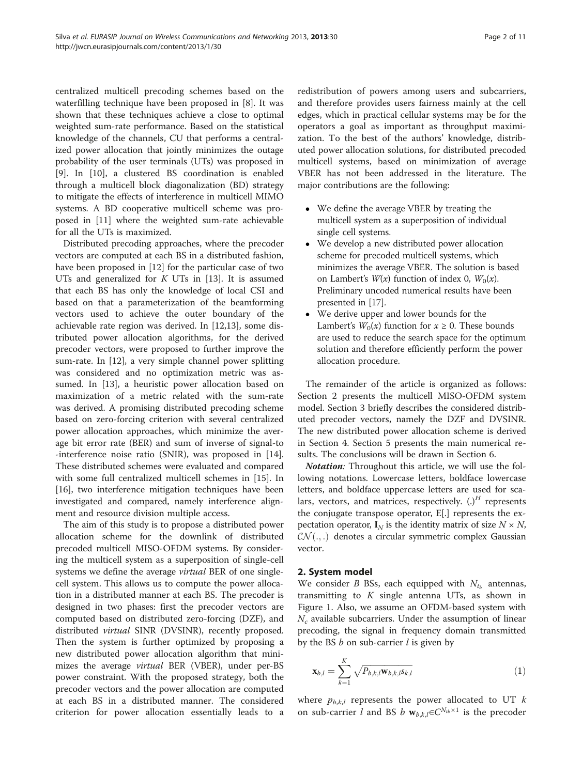centralized multicell precoding schemes based on the waterfilling technique have been proposed in [\[8](#page-10-0)]. It was shown that these techniques achieve a close to optimal weighted sum-rate performance. Based on the statistical knowledge of the channels, CU that performs a centralized power allocation that jointly minimizes the outage probability of the user terminals (UTs) was proposed in [[9\]](#page-10-0). In [[10\]](#page-10-0), a clustered BS coordination is enabled through a multicell block diagonalization (BD) strategy to mitigate the effects of interference in multicell MIMO systems. A BD cooperative multicell scheme was proposed in [\[11\]](#page-10-0) where the weighted sum-rate achievable for all the UTs is maximized.

Distributed precoding approaches, where the precoder vectors are computed at each BS in a distributed fashion, have been proposed in [\[12](#page-10-0)] for the particular case of two UTs and generalized for  $K$  UTs in [\[13](#page-10-0)]. It is assumed that each BS has only the knowledge of local CSI and based on that a parameterization of the beamforming vectors used to achieve the outer boundary of the achievable rate region was derived. In [[12,13\]](#page-10-0), some distributed power allocation algorithms, for the derived precoder vectors, were proposed to further improve the sum-rate. In [[12](#page-10-0)], a very simple channel power splitting was considered and no optimization metric was assumed. In [[13](#page-10-0)], a heuristic power allocation based on maximization of a metric related with the sum-rate was derived. A promising distributed precoding scheme based on zero-forcing criterion with several centralized power allocation approaches, which minimize the average bit error rate (BER) and sum of inverse of signal-to -interference noise ratio (SNIR), was proposed in [\[14](#page-10-0)]. These distributed schemes were evaluated and compared with some full centralized multicell schemes in [[15\]](#page-10-0). In [[16\]](#page-10-0), two interference mitigation techniques have been investigated and compared, namely interference alignment and resource division multiple access.

The aim of this study is to propose a distributed power allocation scheme for the downlink of distributed precoded multicell MISO-OFDM systems. By considering the multicell system as a superposition of single-cell systems we define the average *virtual* BER of one singlecell system. This allows us to compute the power allocation in a distributed manner at each BS. The precoder is designed in two phases: first the precoder vectors are computed based on distributed zero-forcing (DZF), and distributed virtual SINR (DVSINR), recently proposed. Then the system is further optimized by proposing a new distributed power allocation algorithm that minimizes the average virtual BER (VBER), under per-BS power constraint. With the proposed strategy, both the precoder vectors and the power allocation are computed at each BS in a distributed manner. The considered criterion for power allocation essentially leads to a redistribution of powers among users and subcarriers, and therefore provides users fairness mainly at the cell edges, which in practical cellular systems may be for the operators a goal as important as throughput maximization. To the best of the authors' knowledge, distributed power allocation solutions, for distributed precoded multicell systems, based on minimization of average VBER has not been addressed in the literature. The major contributions are the following:

- We define the average VBER by treating the multicell system as a superposition of individual single cell systems.
- We develop a new distributed power allocation scheme for precoded multicell systems, which minimizes the average VBER. The solution is based on Lambert's  $W(x)$  function of index 0,  $W_0(x)$ . Preliminary uncoded numerical results have been presented in [[17](#page-10-0)].
- We derive upper and lower bounds for the Lambert's  $W_0(x)$  function for  $x \ge 0$ . These bounds are used to reduce the search space for the optimum solution and therefore efficiently perform the power allocation procedure.

The remainder of the article is organized as follows: Section 2 presents the multicell MISO-OFDM system model. Section [3](#page-3-0) briefly describes the considered distributed precoder vectors, namely the DZF and DVSINR. The new distributed power allocation scheme is derived in Section [4](#page-3-0). Section [5](#page-6-0) presents the main numerical results. The conclusions will be drawn in Section [6.](#page-8-0)

Notation: Throughout this article, we will use the following notations. Lowercase letters, boldface lowercase letters, and boldface uppercase letters are used for scalars, vectors, and matrices, respectively.  $(.)^H$  represents the conjugate transpose operator, E[.] represents the expectation operator,  $I_N$  is the identity matrix of size  $N \times N$ ,  $CN(.,.)$  denotes a circular symmetric complex Gaussian vector.

#### 2. System model

We consider *B* BSs, each equipped with  $N_{t_h}$  antennas, transmitting to  $K$  single antenna UTs, as shown in Figure [1.](#page-2-0) Also, we assume an OFDM-based system with  $N_c$  available subcarriers. Under the assumption of linear precoding, the signal in frequency domain transmitted by the BS  $b$  on sub-carrier  $l$  is given by

$$
\mathbf{x}_{b,l} = \sum_{k=1}^{K} \sqrt{P_{b,k,l} \mathbf{w}_{b,k,l} s_{k,l}}
$$
(1)

where  $p_{b,k,l}$  represents the power allocated to UT  $k$ on sub-carrier l and BS b  $\mathbf{w}_{b,k,l} \in C^{N_{tb} \times 1}$  is the precoder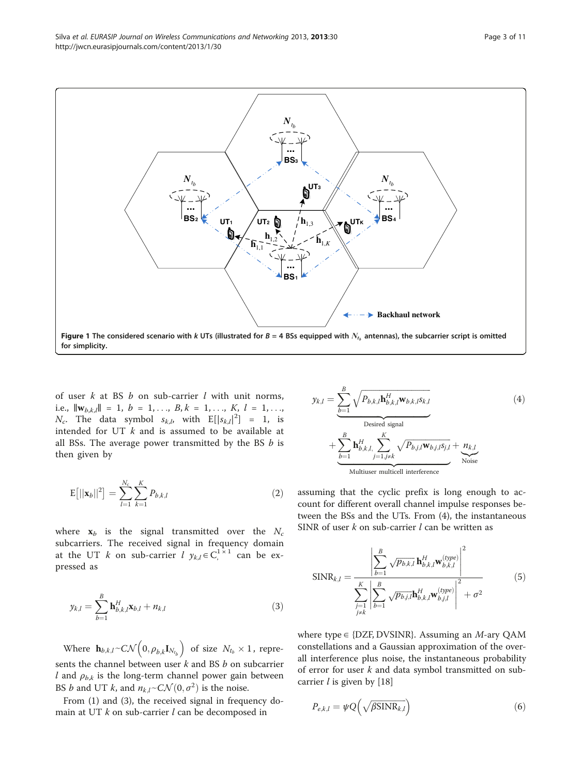<span id="page-2-0"></span>Silva et al. EURASIP Journal on Wireless Communications and Networking 2013, 2013:30 http://jwcn.eurasipjournals.com/content/2013/1/30



of user  $k$  at BS  $b$  on sub-carrier  $l$  with unit norms, i.e.,  $\|\mathbf{w}_{b,k,l}\| = 1, b = 1, ..., B, k = 1, ..., K, l = 1, ...,$  $N_c$ . The data symbol  $s_{k,l}$ , with  $E[|s_{k,l}|^2] = 1$ , is intended for UT  $k$  and is assumed to be available at all BSs. The average power transmitted by the BS  $b$  is then given by

$$
E[||\mathbf{x}_b||^2] = \sum_{l=1}^{N_c} \sum_{k=1}^{K} P_{b,k,l}
$$
 (2)

where  $x_b$  is the signal transmitted over the  $N_c$ subcarriers. The received signal in frequency domain at the UT k on sub-carrier  $l y_{k,l} \in C^{1 \times 1}$  can be expressed as

$$
y_{k,l} = \sum_{b=1}^{B} \mathbf{h}_{b,k,l}^{H} \mathbf{x}_{b,l} + n_{k,l}
$$
 (3)

Where  $\mathbf{h}_{b,k,l} \sim \mathcal{CN}\left(0, \rho_{b,k} \mathbf{I}_{N_{t_b}}\right)$  of size  $N_{t_b} \times 1$ , represents the channel between user  $k$  and BS  $b$  on subcarrier l and  $\rho_{b,k}$  is the long-term channel power gain between BS *b* and UT *k*, and  $n_{k,l} \sim \mathcal{CN}(0, \sigma^2)$  is the noise.<br>From (1) and (3), the received signal in frequ

From (1) and (3), the received signal in frequency domain at UT  $k$  on sub-carrier  $l$  can be decomposed in

$$
y_{k,l} = \underbrace{\sum_{b=1}^{B} \sqrt{P_{b,k,l} \mathbf{h}_{b,k,l}^{H} \mathbf{w}_{b,k,l} s_{k,l}}}_{\text{Desired signal}} + \underbrace{\sum_{b=1}^{B} \mathbf{h}_{b,k,l}^{H}, \sum_{j=1, j \neq k}^{K} \sqrt{P_{b,j,l} \mathbf{w}_{b,j,l} s_{j,l}}}_{\text{Multiuser multicell interference}} + \underbrace{n_{k,l}}_{\text{Noise}}
$$
(4)

assuming that the cyclic prefix is long enough to account for different overall channel impulse responses between the BSs and the UTs. From (4), the instantaneous SINR of user  $k$  on sub-carrier  $l$  can be written as

$$
SINR_{k,l} = \frac{\left| \sum_{b=1}^{B} \sqrt{p_{b,k,l}} \mathbf{h}_{b,k,l}^{H} \mathbf{w}_{b,k,l}^{(type)} \right|^{2}}{\sum_{\substack{j=1 \ j \neq k}}^{K} \left| \sum_{b=1}^{B} \sqrt{p_{b,j,l}} \mathbf{h}_{b,k,l}^{H} \mathbf{w}_{b,j,l}^{(type)} \right|^{2} + \sigma^{2}}
$$
(5)

where type  $\in$  {DZF, DVSINR}. Assuming an *M*-ary QAM constellations and a Gaussian approximation of the overall interference plus noise, the instantaneous probability of error for user  $k$  and data symbol transmitted on subcarrier  $l$  is given by [[18](#page-10-0)]

$$
P_{e,k,l} = \psi Q\left(\sqrt{\beta \text{SINR}_{k,l}}\right) \tag{6}
$$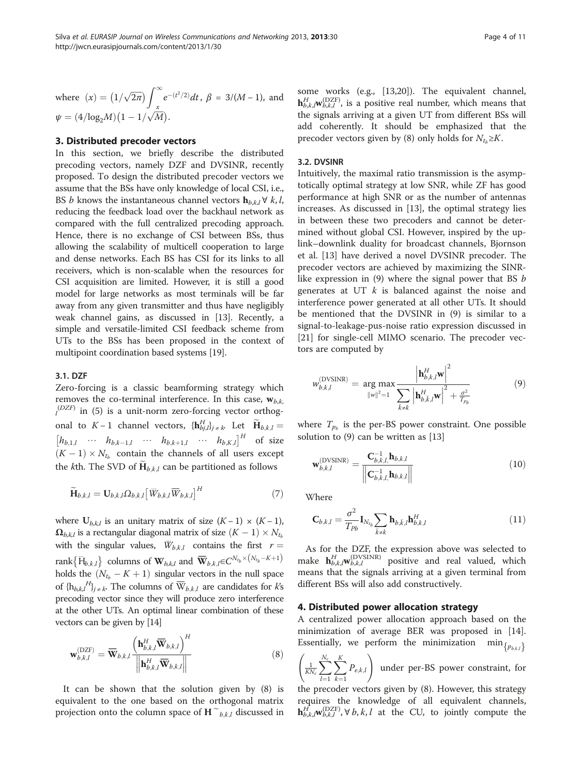<span id="page-3-0"></span>where 
$$
(x) = (1/\sqrt{2\pi}) \int_{x}^{\infty} e^{-(t^2/2)} dt
$$
,  $\beta = 3/(M-1)$ , and  
\n $\psi = (4/\log_2 M)(1 - 1/\sqrt{M}).$ 

#### 3. Distributed precoder vectors

In this section, we briefly describe the distributed precoding vectors, namely DZF and DVSINR, recently proposed. To design the distributed precoder vectors we assume that the BSs have only knowledge of local CSI, i.e., BS *b* knows the instantaneous channel vectors  $\mathbf{h}_{b,k,l} \forall k, l$ , reducing the feedback load over the backhaul network as compared with the full centralized precoding approach. Hence, there is no exchange of CSI between BSs, thus allowing the scalability of multicell cooperation to large and dense networks. Each BS has CSI for its links to all receivers, which is non-scalable when the resources for CSI acquisition are limited. However, it is still a good model for large networks as most terminals will be far away from any given transmitter and thus have negligibly weak channel gains, as discussed in [\[13\]](#page-10-0). Recently, a simple and versatile-limited CSI feedback scheme from UTs to the BSs has been proposed in the context of multipoint coordination based systems [\[19\]](#page-10-0).

#### 3.1. DZF

Zero-forcing is a classic beamforming strategy which removes the co-terminal interference. In this case,  $\mathbf{w}_{b,k}$  $\mu^{(DZF)}$  in (5) is a unit-norm zero-forcing vector orthogonal to K − 1 channel vectors,  $\{h_{b,i}^H\}_{i \neq k}$ . Let  $\widetilde{H}_{b,k,l} =$  $\begin{bmatrix} h_{b,1,l} & \cdots & h_{b,k-1,l} & \cdots & h_{b,k+1,l} & \cdots & h_{b,K,l} \end{bmatrix}^H$  of size  $(K - 1) \times N_{t_b}$  contain the channels of all users except the kth. The SVD of  $\mathbf{H}_{b,k,l}$  can be partitioned as follows

$$
\widetilde{\mathbf{H}}_{b,k,l} = \mathbf{U}_{b,k,l} \Omega_{b,k,l} \left[ \ddot{W}_{b,k,l} \overline{W}_{b,k,l} \right]^H \tag{7}
$$

where  $U_{b,k,l}$  is an unitary matrix of size  $(K-1) \times (K-1)$ ,  $\Omega_{b,k,l}$  is a rectangular diagonal matrix of size  $(K - 1) \times N_{t_b}$ with the singular values,  $\ddot{W}_{b,k,l}$  contains the first  $r =$ rank $\{\widetilde{H}_{b,k,l}\}$  columns of  $\mathbf{W}_{b,k,l}$  and  $\overline{\mathbf{W}}_{b,k,l} \in C^{N_{t_b} \times (N_{t_b} - K + 1)}$ holds the  $(N_{t_b} - K + 1)$  singular vectors in the null space of  $\{h_{b,k,l}\}_{j \neq k}^H$ . The columns of  $\overline{W}_{b,k,l}$  are candidates for  $k$ s precoding vector since they will produce zero interference at the other UTs. An optimal linear combination of these vectors can be given by [\[14\]](#page-10-0)

$$
\mathbf{w}_{b,k,l}^{(\text{DZF})} = \overline{\mathbf{W}}_{b,k,l} \frac{\left(\mathbf{h}_{b,k,l}^H \overline{\mathbf{W}}_{b,k,l}\right)^H}{\left\|\mathbf{h}_{b,k,l}^H \overline{\mathbf{W}}_{b,k,l}\right\|}
$$
(8)

It can be shown that the solution given by (8) is equivalent to the one based on the orthogonal matrix projection onto the column space of  $\mathbf{H} \tilde{b}_{k,k,l}$  discussed in some works (e.g., [\[13,20](#page-10-0)]). The equivalent channel,  $h_{k,k,l}^{H}$  w $_{k,l}^{[DZF]}$ , is a positive real number, which means that the signals arriving at a given UT from different BSs will the signals arriving at a given UT from different BSs will add coherently. It should be emphasized that the precoder vectors given by (8) only holds for  $N_{t_k} \geq K$ .

#### 3.2. DVSINR

Intuitively, the maximal ratio transmission is the asymptotically optimal strategy at low SNR, while ZF has good performance at high SNR or as the number of antennas increases. As discussed in [\[13](#page-10-0)], the optimal strategy lies in between these two precoders and cannot be determined without global CSI. However, inspired by the uplink–downlink duality for broadcast channels, Bjornson et al. [[13](#page-10-0)] have derived a novel DVSINR precoder. The precoder vectors are achieved by maximizing the SINRlike expression in  $(9)$  where the signal power that BS b generates at UT  $k$  is balanced against the noise and interference power generated at all other UTs. It should be mentioned that the DVSINR in (9) is similar to a signal-to-leakage-pus-noise ratio expression discussed in [[21\]](#page-10-0) for single-cell MIMO scenario. The precoder vectors are computed by

$$
w_{b,k,l}^{(\text{DVSINR})} = \underset{\|w\|^2 = 1}{\arg \max} \frac{\left|\mathbf{h}_{b,k,l}^H \mathbf{w}\right|^2}{\sum_{\bar{k} \neq k} \left|\mathbf{h}_{b,\bar{k},l}^H \mathbf{w}\right|^2 + \frac{\sigma^2}{T_{p_b}}} \tag{9}
$$

where  $T_{p_b}$  is the per-BS power constraint. One possible solution to (9) can be written as [\[13](#page-10-0)]

$$
\mathbf{w}_{b,k,l}^{(\text{DVSINR})} = \frac{\mathbf{C}_{b,k,l,\mathbf{h}_{b,k,l}}^{-1}}{\left\| \mathbf{C}_{b,k,l,\mathbf{h}_{b,k,l}}^{-1} \right\|} \tag{10}
$$

Where

$$
\mathbf{C}_{b,k,l} = \frac{\sigma^2}{T_{Pb}} \mathbf{I}_{N_{t_b}} \sum_{\bar{k} \neq k} \mathbf{h}_{b,\bar{k},l} \mathbf{h}_{b,k,l}^H
$$
\n(11)

As for the DZF, the expression above was selected to make  $\mathbf{h}_{b,k,l}^H \mathbf{w}_{b,k,l}^{\text{(DVSINR)}}$  positive and real valued, which means that the signals arriving at a given terminal from different BSs will also add constructively.

#### 4. Distributed power allocation strategy

A centralized power allocation approach based on the minimization of average BER was proposed in [\[14](#page-10-0)]. Essentially, we perform the minimization  $\min_{\{p_{b,k,l}\}}$ 

 $\frac{1}{KN_c}\sum^{N_c}$  $_{1}^{l=1}$  $\sum_{k=1}^{K}$  $k=1$  $\left(\frac{1}{KN_c}\sum_{i=1}^{N_c}\sum_{i=1}^{K}P_{e,k,i}\right)$  under per-BS power constraint, for

the precoder vectors given by (8). However, this strategy requires the knowledge of all equivalent channels,  $h_{b,k,l}^{H}$  w $_{b,k,l}^{[DZF]}$ ,  $\forall$   $b, k, l$  at the CU, to jointly compute the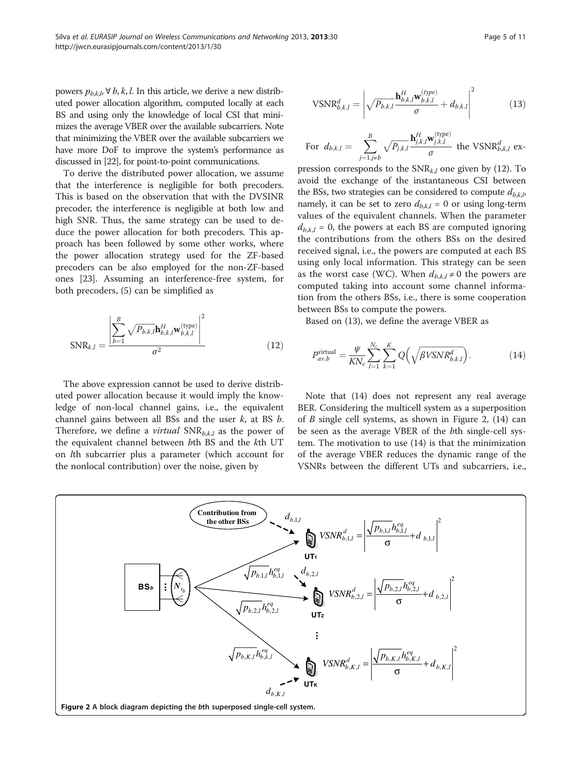powers  $p_{b,k,l}$ ,  $\forall$  b, k, l. In this article, we derive a new distributed power allocation algorithm, computed locally at each BS and using only the knowledge of local CSI that minimizes the average VBER over the available subcarriers. Note that minimizing the VBER over the available subcarriers we have more DoF to improve the system's performance as discussed in [\[22\]](#page-10-0), for point-to-point communications.

To derive the distributed power allocation, we assume that the interference is negligible for both precoders. This is based on the observation that with the DVSINR precoder, the interference is negligible at both low and high SNR. Thus, the same strategy can be used to deduce the power allocation for both precoders. This approach has been followed by some other works, where the power allocation strategy used for the ZF-based precoders can be also employed for the non-ZF-based ones [[23\]](#page-10-0). Assuming an interference-free system, for both precoders, (5) can be simplified as

$$
SNR_{k,l} = \frac{\left| \sum_{b=1}^{B} \sqrt{P_{b,k,l}} \mathbf{h}_{b,k,l}^{H} \mathbf{w}_{b,k,l}^{(\text{type})} \right|^{2}}{\sigma^{2}}
$$
(12)

The above expression cannot be used to derive distributed power allocation because it would imply the knowledge of non-local channel gains, i.e., the equivalent channel gains between all BSs and the user  $k$ , at BS  $b$ . Therefore, we define a *virtual*  $SNR_{h,k,l}$  as the power of the equivalent channel between bth BS and the kth UT on lth subcarrier plus a parameter (which account for the nonlocal contribution) over the noise, given by

$$
\text{VSNR}_{b,k,l}^d = \left| \sqrt{P_{b,k,l}} \frac{\mathbf{h}_{b,k,l}^H \mathbf{w}_{b,k,l}^{(type)}}{\sigma} + d_{b,k,l} \right|^2 \tag{13}
$$

For 
$$
d_{b,k,l} = \sum_{j=1, j \neq b}^{B} \sqrt{P_{j,k,l}} \frac{\mathbf{h}_{j,k,l}^H \mathbf{w}_{j,k,l}^{\text{(type)}}}{\sigma}
$$
 the  $\text{VSNR}_{b,k,l}^d$  ex-

pression corresponds to the  $SNR_{k,l}$  one given by (12). To avoid the exchange of the instantaneous CSI between the BSs, two strategies can be considered to compute  $d_{b,k,l}$ , namely, it can be set to zero  $d_{b,k,l} = 0$  or using long-term values of the equivalent channels. When the parameter  $d_{b,k,l}$  = 0, the powers at each BS are computed ignoring the contributions from the others BSs on the desired received signal, i.e., the powers are computed at each BS using only local information. This strategy can be seen as the worst case (WC). When  $d_{b,k,l} \neq 0$  the powers are computed taking into account some channel information from the others BSs, i.e., there is some cooperation between BSs to compute the powers.

Based on (13), we define the average VBER as

$$
P_{av,b}^{\text{virtual}} = \frac{\psi}{KN_c} \sum_{l=1}^{N_c} \sum_{k=1}^{K} Q\left(\sqrt{\beta V SNR_{b,k,l}^d}\right). \tag{14}
$$

Note that (14) does not represent any real average BER. Considering the multicell system as a superposition of B single cell systems, as shown in Figure 2, (14) can be seen as the average VBER of the bth single-cell system. The motivation to use (14) is that the minimization of the average VBER reduces the dynamic range of the VSNRs between the different UTs and subcarriers, i.e.,

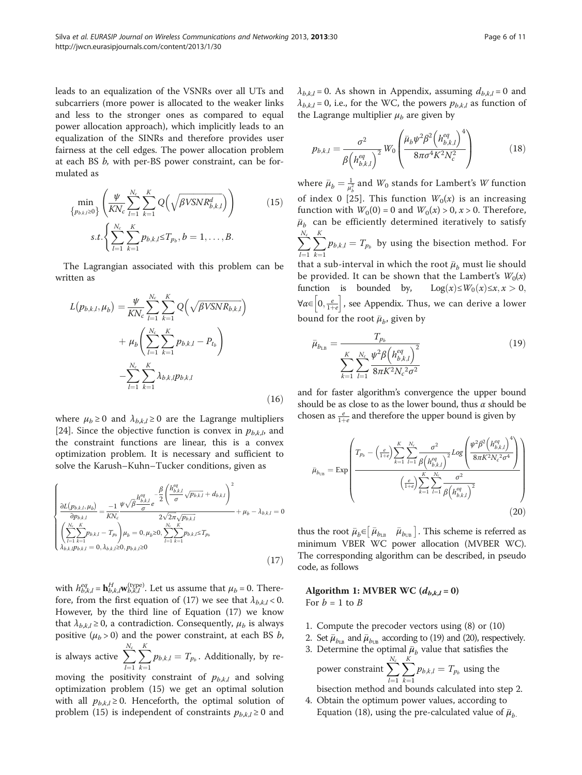<span id="page-5-0"></span>leads to an equalization of the VSNRs over all UTs and subcarriers (more power is allocated to the weaker links and less to the stronger ones as compared to equal power allocation approach), which implicitly leads to an equalization of the SINRs and therefore provides user fairness at the cell edges. The power allocation problem at each BS b, with per-BS power constraint, can be formulated as

$$
\min_{\{p_{b,k,l}\geq 0\}}\left(\frac{\psi}{KN_c}\sum_{l=1}^{N_c}\sum_{k=1}^KQ\left(\sqrt{\beta VSNR_{b,k,l}^d}\right)\right)
$$
\n
$$
s.t.\left\{\sum_{l=1}^{N_c}\sum_{k=1}^Kp_{b,k,l}\leq T_{p_b}, b=1,\ldots,B.
$$
\n(15)

The Lagrangian associated with this problem can be written as

$$
L(p_{b,k,l}, \mu_b) = \frac{\psi}{KN_c} \sum_{l=1}^{N_c} \sum_{k=1}^{K} Q\left(\sqrt{\beta VSNR_{b,k,l}}\right) + \mu_b \left(\sum_{l=1}^{N_c} \sum_{k=1}^{K} p_{b,k,l} - P_{t_b}\right) - \sum_{l=1}^{N_c} \sum_{k=1}^{K} \lambda_{b,k,l} p_{b,k,l}
$$
\n(16)

where  $\mu_b \ge 0$  and  $\lambda_{b,k,l} \ge 0$  are the Lagrange multipliers [[24\]](#page-10-0). Since the objective function is convex in  $p_{b,k,l}$ , and the constraint functions are linear, this is a convex optimization problem. It is necessary and sufficient to solve the Karush–Kuhn–Tucker conditions, given as

$$
\begin{cases}\n\frac{\partial L(p_{b,k,l}, \mu_b)}{\partial p_{b,k,l}} = \frac{-1}{KN_c} \frac{\psi \sqrt{\beta} \frac{h_{b,k,l}^{eq}}{\sigma} e^{-\frac{\beta}{2} \left( \frac{h_{b,k,l}^{eq}}{\sigma} \sqrt{p_{b,k,l}} + d_{b,k,l} \right)^2}}{2\sqrt{2\pi} \sqrt{p_{b,k,l}}} + \mu_b - \lambda_{b,k,l} = 0 \\
\frac{\left( \sum_{l=1}^{N_c} \sum_{k=1}^{K} p_{b,k,l} - T_{p_b} \right) \mu_b = 0, \mu_b \ge 0, \sum_{l=1}^{N_c} \sum_{k=1}^{K} p_{b,k,l} \le T_{p_b} \\
\lambda_{b,k,l} p_{b,k,l} = 0, \lambda_{b,k,l} \ge 0, p_{b,k,l} \ge 0\n\end{cases} \tag{17}
$$

with  $h_{b,k,l}^{eq} = \mathbf{h}_{b,k,l}^H \mathbf{w}_{b,k,l}^{(\text{type})}$ . Let us assume that  $\mu_b = 0$ . Therefore, from the first equation of (17) we see that  $\lambda_{h,k,l}$  < 0. However, by the third line of Equation (17) we know that  $\lambda_{b,k,l} \geq 0$ , a contradiction. Consequently,  $\mu_b$  is always positive  $(\mu_b > 0)$  and the power constraint, at each BS b,

is always active  $\sum_{i=1}^{N_c}$  $\frac{l=1}{l+1}$  $\sum_{k=1}^{K}$  $\sum_{k=1}^{\infty} p_{b,k,l} = T_{p_b}$ . Additionally, by re-

moving the positivity constraint of  $p_{b,k,l}$  and solving optimization problem (15) we get an optimal solution with all  $p_{b,k,l} \geq 0$ . Henceforth, the optimal solution of problem (15) is independent of constraints  $p_{b,k,l} \ge 0$  and  $\lambda_{b,k,l} = 0$ . As shown in Appendix, assuming  $d_{b,k,l} = 0$  and  $\lambda_{b,k,l} = 0$ , i.e., for the WC, the powers  $p_{b,k,l}$  as function of the Lagrange multiplier  $\mu_b$  are given by

$$
p_{b,k,l} = \frac{\sigma^2}{\beta \left(h_{b,k,l}^{eq}\right)^2} W_0 \left(\frac{\bar{\mu}_b \psi^2 \beta^2 \left(h_{b,k,l}^{eq}\right)^4}{8\pi \sigma^4 K^2 N_c^2}\right) \tag{18}
$$

where  $\bar{\mu}_b = \frac{1}{\mu_b^2}$  and  $W_0$  stands for Lambert's W function of index 0 [[25\]](#page-10-0). This function  $W_0(x)$  is an increasing function with  $W_0(0) = 0$  and  $W_0(x) > 0$ ,  $x > 0$ . Therefore,  ${\bar \mu}_b \;$  can be efficiently determined iteratively to satisfy  $\sum^{N_c}$  $l=1$  $\sum_{k=1}^{K}$  $\sum_{k=1}^{n} p_{b,k,l} = T_{p_b}$  by using the bisection method. For that a sub-interval in which the root  $\bar{\mu}_b$  must lie should be provided. It can be shown that the Lambert's  $W_0(x)$ function is bounded by,  $Log(x) \leq W_0(x) \leq x, x > 0$ ,  $\forall \alpha \in \left[0, \frac{e}{1+e}\right]$ , see [Appendix.](#page-9-0) Thus, we can derive a lower bound for the root  $\bar{\mu}_b$ , given by

$$
\bar{\mu}_{b_{\text{LB}}} = \frac{T_{p_b}}{\sum_{k=1}^{K} \sum_{l=1}^{N_c} \frac{\psi^2 \beta \left( h_{b,k,l}^{eq} \right)^2}{8\pi K^2 N_c^2 \sigma^2}}
$$
(19)

and for faster algorithm's convergence the upper bound should be as close to as the lower bound, thus  $\alpha$  should be chosen as  $\frac{e}{1+e}$  and therefore the upper bound is given by

$$
\bar{\mu}_{b_{UB}} = \text{Exp}\left(\frac{T_{p_b} - \left(\frac{e}{1+e}\right) \sum_{k=1}^{K} \sum_{l=1}^{N_c} \frac{\sigma^2}{\beta \left(h_{b,k,l}^{eq}\right)^2} Log\left(\frac{\psi^2 \beta^2 \left(h_{b,k,l}^{eq}\right)^4}{8\pi K^2 N_c^2 \sigma^4}\right)}{\left(\frac{e}{1+e}\right) \sum_{k=1}^{K} \sum_{l=1}^{N_c} \frac{\sigma^2}{\beta \left(h_{b,k,l}^{eq}\right)^2}}\right)
$$
\n(20)

thus the root  $\bar{\mu}_b \in [\bar{\mu}_{b_{\text{LB}}} \quad \bar{\mu}_{b_{\text{UB}}}].$  This scheme is referred as minimum VBER WC power allocation (MVBER WC). The corresponding algorithm can be described, in pseudo code, as follows

Algorithm 1: MVBER WC  $(d_{b,k,l}=0)$ For  $b = 1$  to B

- 1. Compute the precoder vectors using (8) or (10)
- 2. Set  $\bar{\mu}_{b_{\text{LB}}}$  and  $\bar{\mu}_{b_{\text{UB}}}$  according to (19) and (20), respectively.
- 3. Determine the optimal  $\bar{\mu}_b$  value that satisfies the power constraint  $\sum$  $\bar{N}_c$  $\frac{l=1}{2}$  $\sum$ K  $\sum_{k=1} p_{b,k,l} = T_{p_b}$  using the<br>bounds calculated into a bisection method and bounds calculated into step 2.

4. Obtain the optimum power values, according to

Equation (18), using the pre-calculated value of  $\bar{\mu}_{b}$ .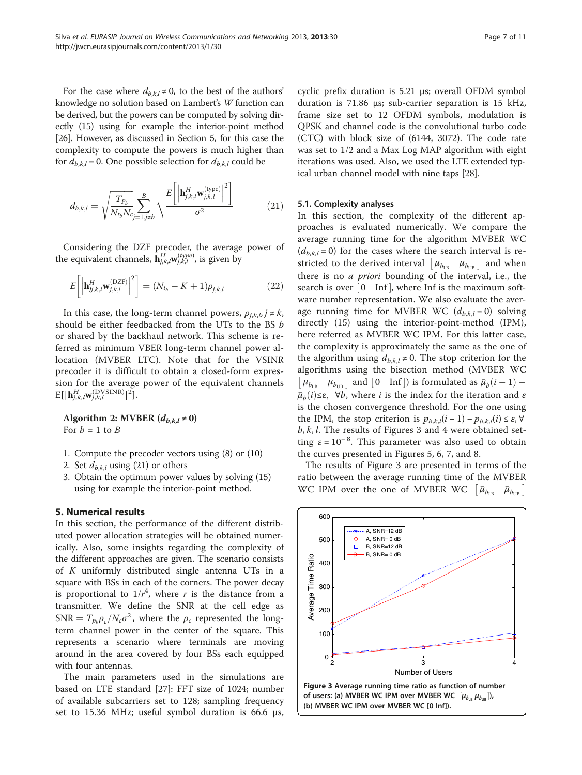<span id="page-6-0"></span>For the case where  $d_{b,k,l} \neq 0$ , to the best of the authors' knowledge no solution based on Lambert's W function can be derived, but the powers can be computed by solving directly (15) using for example the interior-point method [[26](#page-10-0)]. However, as discussed in Section 5, for this case the complexity to compute the powers is much higher than for  $d_{b,k,l} = 0$ . One possible selection for  $d_{b,k,l}$  could be

$$
d_{b,k,l} = \sqrt{\frac{T_{P_b}}{N_{t_b} N_{c_{j=1,j \neq b}}} \sum_{j=1}^{B} \sqrt{\frac{E\left[\left|\mathbf{h}_{j,k,l}^{H} \mathbf{w}_{j,k,l}^{(\text{type})}\right|^{2}\right]}{\sigma^{2}}}
$$
(21)

Considering the DZF precoder, the average power of the equivalent channels,  $\mathbf{h}_{j,k,l}^{H} \mathbf{w}_{j,k,l}^{(type)}$ , is given by

$$
E\left[\left|\mathbf{h}_{jj,k,l}^{H}\mathbf{w}_{j,k,l}^{(\text{DZF})}\right|^{2}\right] = (N_{t_{b}} - K + 1)\rho_{j,k,l}
$$
\n(22)

In this case, the long-term channel powers,  $\rho_{i,k,l}$ ,  $j \neq k$ , should be either feedbacked from the UTs to the BS b or shared by the backhaul network. This scheme is referred as minimum VBER long-term channel power allocation (MVBER LTC). Note that for the VSINR precoder it is difficult to obtain a closed-form expression for the average power of the equivalent channels  $\mathbb{E}[\|\mathbf{h}_{j,k,l}^H \mathbf{w}_{j,k,l}^{\text{(DVSINR)}}\|^2].$ 

# Algorithm 2: MVBER  $(d_{b,k,l} \neq 0)$

For  $b = 1$  to B

- 1. Compute the precoder vectors using (8) or (10)
- 2. Set  $d_{b,k,l}$  using (21) or others
- 3. Obtain the optimum power values by solving (15) using for example the interior-point method.

#### 5. Numerical results

In this section, the performance of the different distributed power allocation strategies will be obtained numerically. Also, some insights regarding the complexity of the different approaches are given. The scenario consists of  $K$  uniformly distributed single antenna UTs in a square with BSs in each of the corners. The power decay is proportional to  $1/r^4$ , where r is the distance from a transmitter. We define the SNR at the cell edge as SNR =  $T_{p_b} \rho_c/N_c \sigma^2$ , where the  $\rho_c$  represented the longterm channel power in the center of the square. This represents a scenario where terminals are moving around in the area covered by four BSs each equipped with four antennas.

The main parameters used in the simulations are based on LTE standard [[27\]](#page-10-0): FFT size of 1024; number of available subcarriers set to 128; sampling frequency set to 15.36 MHz; useful symbol duration is 66.6 μs,

cyclic prefix duration is 5.21 μs; overall OFDM symbol duration is 71.86 μs; sub-carrier separation is 15 kHz, frame size set to 12 OFDM symbols, modulation is QPSK and channel code is the convolutional turbo code (CTC) with block size of (6144, 3072). The code rate was set to 1/2 and a Max Log MAP algorithm with eight iterations was used. Also, we used the LTE extended typical urban channel model with nine taps [[28\]](#page-10-0).

#### 5.1. Complexity analyses

In this section, the complexity of the different approaches is evaluated numerically. We compare the average running time for the algorithm MVBER WC  $(d_{b,k,l}=0)$  for the cases where the search interval is restricted to the derived interval  $\begin{bmatrix} \bar{\mu}_{b_{\text{LB}}} & \bar{\mu}_{b_{\text{UB}}} \end{bmatrix}$  and when there is no a priori bounding of the interval, i.e., the search is over  $\begin{bmatrix} 0 & \text{Inf} \end{bmatrix}$ , where Inf is the maximum software number representation. We also evaluate the average running time for MVBER WC  $(d_{b,k,l} = 0)$  solving directly (15) using the interior-point-method (IPM), here referred as MVBER WC IPM. For this latter case, the complexity is approximately the same as the one of the algorithm using  $d_{b,k,l} \neq 0$ . The stop criterion for the algorithms using the bisection method (MVBER WC  $\left[\bar{\mu}_{b_{\text{LB}}}\right]$  and  $\left[0 \text{ Inf}\right]$ ) is formulated as  $\bar{\mu}_{b}(i-1) -$ <br> $\bar{\mu}_{b}(i) \leq \mu_{b}$  where *i* is the index for the iteration and *c*  $\bar{\mu}_b(i) \leq \epsilon$ ,  $\forall b$ , where *i* is the index for the iteration and  $\epsilon$  is the chosen convergence threshold. For the one using is the chosen convergence threshold. For the one using the IPM, the stop criterion is  $p_{b,k,l}(i-1) - p_{b,k,l}(i) \leq \varepsilon$ ,  $\forall$  $b, k, l$ . The results of Figures 3 and [4](#page-7-0) were obtained setting  $\varepsilon = 10^{-8}$ . This parameter was also used to obtain the curves presented in Figures [5](#page-7-0), [6](#page-7-0), [7](#page-7-0), and [8.](#page-8-0)

The results of Figure 3 are presented in terms of the ratio between the average running time of the MVBER WC IPM over the one of MVBER WC  $\begin{bmatrix} \bar{\mu}_{b_{\text{LB}}} & \bar{\mu}_{b_{\text{UB}}} \end{bmatrix}$ 



(b) MVBER WC IPM over MVBER WC [0 Inf]).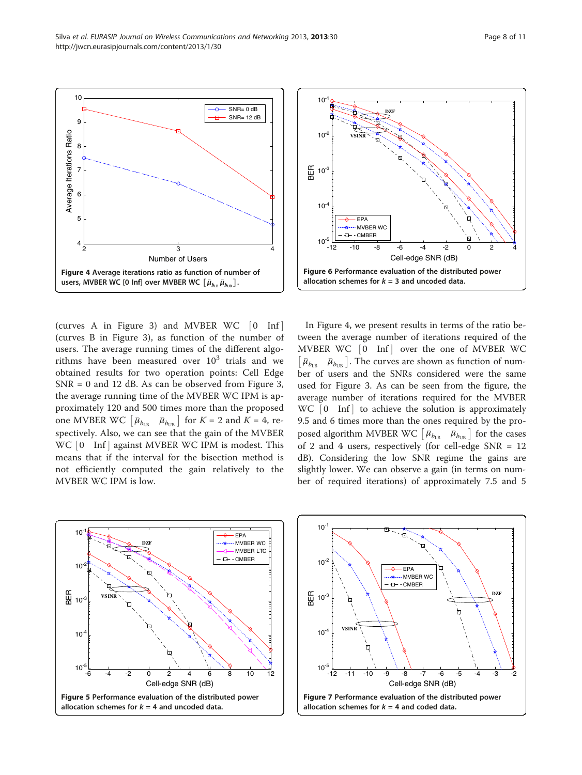(curves A in Figure [3\)](#page-6-0) and MVBER WC  $[0 \text{ Inf}]$ (curves B in Figure [3](#page-6-0)), as function of the number of users. The average running times of the different algorithms have been measured over  $10^3$  trials and we obtained results for two operation points: Cell Edge  $SNR = 0$  and 12 dB. As can be observed from Figure [3](#page-6-0), the average running time of the MVBER WC IPM is approximately 120 and 500 times more than the proposed one MVBER WC  $\begin{bmatrix} \bar{\mu}_{b_{\text{LB}}} & \bar{\mu}_{b_{\text{UB}}} \end{bmatrix}$  for  $K = 2$  and  $K = 4$ , respectively. Also, we can see that the gain of the MVBER  $WC [0 Inf]$  against MVBER WC IPM is modest. This means that if the interval for the bisection method is not efficiently computed the gain relatively to the MVBER WC IPM is low.

In Figure 4, we present results in terms of the ratio between the average number of iterations required of the MVBER WC [0 Inf] over the one of MVBER WC  $\left[ \bar{\mu}_{b_{LB}} \quad \bar{\mu}_{b_{UB}} \right]$ . The curves are shown as function of number of users and the SNRs considered were the same used for Figure [3.](#page-6-0) As can be seen from the figure, the average number of iterations required for the MVBER  $WC [0 Inf]$  to achieve the solution is approximately 9.5 and 6 times more than the ones required by the proposed algorithm MVBER WC  $\left[\bar{\mu}_{b_{\text{LB}}} \quad \bar{\mu}_{b_{\text{UB}}} \right]$  for the cases of 2 and 4 users, respectively (for cell-edge SNR = 12 dB). Considering the low SNR regime the gains are slightly lower. We can observe a gain (in terms on number of required iterations) of approximately 7.5 and 5

<span id="page-7-0"></span>

 $SNR = 0$  dB SNR= 12 dB



7

8

9

10





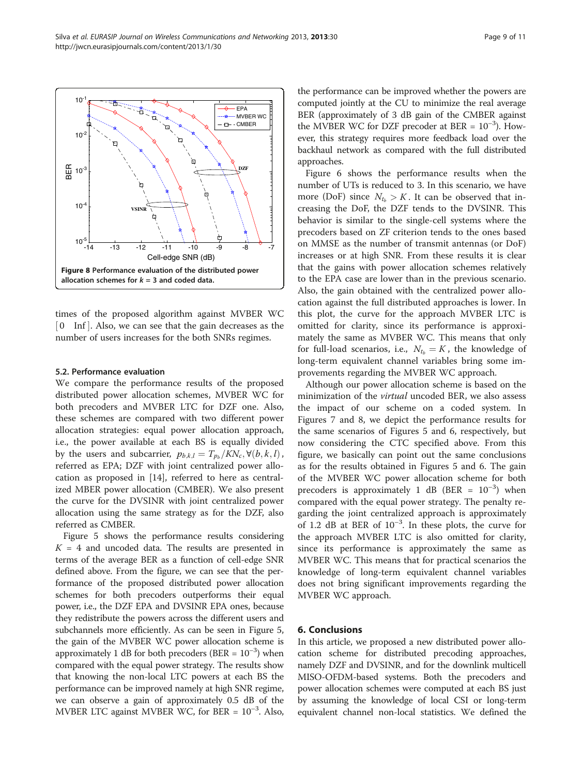<span id="page-8-0"></span>

times of the proposed algorithm against MVBER WC  $\begin{bmatrix} 0 & \text{Inf} \end{bmatrix}$ . Also, we can see that the gain decreases as the number of users increases for the both SNRs regimes.

#### 5.2. Performance evaluation

We compare the performance results of the proposed distributed power allocation schemes, MVBER WC for both precoders and MVBER LTC for DZF one. Also, these schemes are compared with two different power allocation strategies: equal power allocation approach, i.e., the power available at each BS is equally divided by the users and subcarrier,  $p_{b,k,l} = T_{p_b}/KN_c$ ,  $\forall (b, k, l)$ , referred as EPA; DZF with joint centralized power allocation as proposed in [[14\]](#page-10-0), referred to here as centralized MBER power allocation (CMBER). We also present the curve for the DVSINR with joint centralized power allocation using the same strategy as for the DZF, also referred as CMBER.

Figure [5](#page-7-0) shows the performance results considering  $K = 4$  and uncoded data. The results are presented in terms of the average BER as a function of cell-edge SNR defined above. From the figure, we can see that the performance of the proposed distributed power allocation schemes for both precoders outperforms their equal power, i.e., the DZF EPA and DVSINR EPA ones, because they redistribute the powers across the different users and subchannels more efficiently. As can be seen in Figure [5](#page-7-0), the gain of the MVBER WC power allocation scheme is approximately 1 dB for both precoders (BER =  $10^{-3}$ ) when compared with the equal power strategy. The results show that knowing the non-local LTC powers at each BS the performance can be improved namely at high SNR regime, we can observe a gain of approximately 0.5 dB of the MVBER LTC against MVBER WC, for BER =  $10^{-3}$ . Also,

the performance can be improved whether the powers are computed jointly at the CU to minimize the real average BER (approximately of 3 dB gain of the CMBER against the MVBER WC for DZF precoder at BER =  $10^{-3}$ ). However, this strategy requires more feedback load over the backhaul network as compared with the full distributed approaches.

Figure [6](#page-7-0) shows the performance results when the number of UTs is reduced to 3. In this scenario, we have more (DoF) since  $N_{t_h} > K$ . It can be observed that increasing the DoF, the DZF tends to the DVSINR. This behavior is similar to the single-cell systems where the precoders based on ZF criterion tends to the ones based on MMSE as the number of transmit antennas (or DoF) increases or at high SNR. From these results it is clear that the gains with power allocation schemes relatively to the EPA case are lower than in the previous scenario. Also, the gain obtained with the centralized power allocation against the full distributed approaches is lower. In this plot, the curve for the approach MVBER LTC is omitted for clarity, since its performance is approximately the same as MVBER WC. This means that only for full-load scenarios, i.e.,  $N_{t_h} = K$ , the knowledge of long-term equivalent channel variables bring some improvements regarding the MVBER WC approach.

Although our power allocation scheme is based on the minimization of the virtual uncoded BER, we also assess the impact of our scheme on a coded system. In Figures [7](#page-7-0) and 8, we depict the performance results for the same scenarios of Figures [5](#page-7-0) and [6](#page-7-0), respectively, but now considering the CTC specified above. From this figure, we basically can point out the same conclusions as for the results obtained in Figures [5](#page-7-0) and [6.](#page-7-0) The gain of the MVBER WC power allocation scheme for both precoders is approximately 1 dB (BER =  $10^{-3}$ ) when compared with the equal power strategy. The penalty regarding the joint centralized approach is approximately of 1.2 dB at BER of  $10^{-3}$ . In these plots, the curve for the approach MVBER LTC is also omitted for clarity, since its performance is approximately the same as MVBER WC. This means that for practical scenarios the knowledge of long-term equivalent channel variables does not bring significant improvements regarding the MVBER WC approach.

#### 6. Conclusions

In this article, we proposed a new distributed power allocation scheme for distributed precoding approaches, namely DZF and DVSINR, and for the downlink multicell MISO-OFDM-based systems. Both the precoders and power allocation schemes were computed at each BS just by assuming the knowledge of local CSI or long-term equivalent channel non-local statistics. We defined the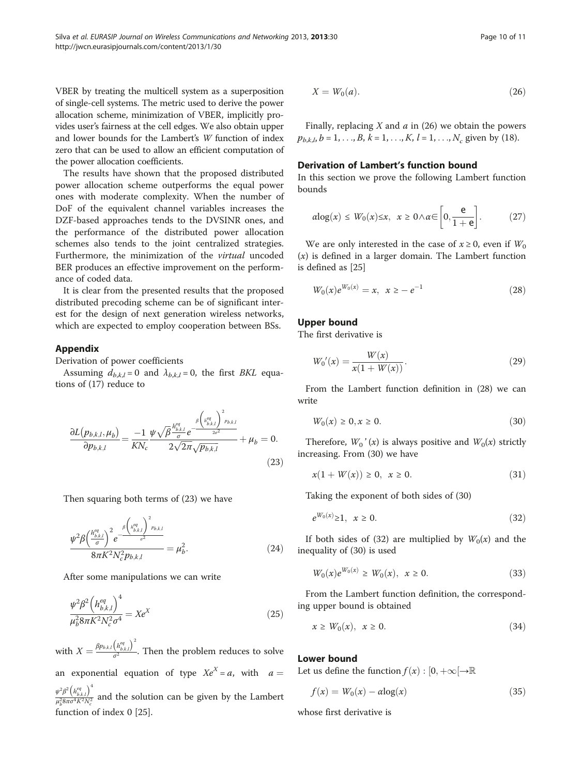<span id="page-9-0"></span>VBER by treating the multicell system as a superposition of single-cell systems. The metric used to derive the power allocation scheme, minimization of VBER, implicitly provides user's fairness at the cell edges. We also obtain upper and lower bounds for the Lambert's W function of index zero that can be used to allow an efficient computation of the power allocation coefficients.

The results have shown that the proposed distributed power allocation scheme outperforms the equal power ones with moderate complexity. When the number of DoF of the equivalent channel variables increases the DZF-based approaches tends to the DVSINR ones, and the performance of the distributed power allocation schemes also tends to the joint centralized strategies. Furthermore, the minimization of the virtual uncoded BER produces an effective improvement on the performance of coded data.

It is clear from the presented results that the proposed distributed precoding scheme can be of significant interest for the design of next generation wireless networks, which are expected to employ cooperation between BSs.

#### Appendix

Derivation of power coefficients

Assuming  $d_{b,k,l} = 0$  and  $\lambda_{b,k,l} = 0$ , the first BKL equations of ([17\)](#page-5-0) reduce to

$$
\frac{\partial L(p_{b,k,l}, \mu_b)}{\partial p_{b,k,l}} = \frac{-1}{KN_c} \frac{\psi \sqrt{\beta} \frac{h_{b,k,l}^{eq}}{\sigma^2} e^{-\frac{\beta \left(h_{b,k,l}^{eq}\right)^2 p_{b,k,l}}{2\sigma^2}}}{2\sqrt{2\pi} \sqrt{p_{b,k,l}}} + \mu_b = 0.
$$
\n(23)

Then squaring both terms of (23) we have

$$
\frac{\psi^2 \beta \left(\frac{h_{b,k,l}^{eq}}{\sigma}\right)^2 e^{-\frac{\beta \left(h_{b,k,l}^{eq}\right)^2 p_{b,k,l}}{\sigma^2}}}{8\pi K^2 N_c^2 p_{b,k,l}} = \mu_b^2.
$$
 (24)

After some manipulations we can write

$$
\frac{\psi^2 \beta^2 \left( h_{b,k,l}^{eq} \right)^4}{\mu_b^2 8\pi K^2 N_c^2 \sigma^4} = X e^X
$$
\n(25)

with  $X = \frac{\beta p_{b,k,l} \left( h_{b,k,l}^{eq} \right)^2}{\sigma^2}$  $\frac{\binom{11}{16k,l}}{\sigma^2}$ . Then the problem reduces to solve an exponential equation of type  $Xe^{X} = a$ , with  $a = a$  $\psi^2\beta^2\left(h^{eq}_{b,k,l}\right)^4$  $\frac{\mu^2 P^2 (\gamma_{b,k,l})}{\mu_b^2 8\pi \sigma^4 K^2 N_c^2}$  and the solution can be given by the Lambert function of index 0 [\[25\]](#page-10-0).

$$
X = W_0(a). \tag{26}
$$

Finally, replacing  $X$  and  $a$  in (26) we obtain the powers  $p_{b,k,l}$ ,  $b = 1, ..., B$ ,  $k = 1, ..., K$ ,  $l = 1, ..., N_c$  given by (18).

#### Derivation of Lambert's function bound

In this section we prove the following Lambert function bounds

$$
\alpha \log(x) \le W_0(x) \le x, \ \ x \ge 0 \land \alpha \in \left[0, \frac{e}{1+e}\right]. \tag{27}
$$

We are only interested in the case of  $x \ge 0$ , even if  $W_0$  $(x)$  is defined in a larger domain. The Lambert function is defined as [\[25](#page-10-0)]

$$
W_0(x)e^{W_0(x)} = x, \ \ x \ge -e^{-1} \tag{28}
$$

#### Upper bound

The first derivative is

$$
W_0'(x) = \frac{W(x)}{x(1 + W(x))}.
$$
\n(29)

From the Lambert function definition in (28) we can write

$$
W_0(x) \ge 0, x \ge 0. \tag{30}
$$

Therefore,  $W_0'(x)$  is always positive and  $W_0(x)$  strictly increasing. From (30) we have

$$
x(1 + W(x)) \ge 0, \ \ x \ge 0. \tag{31}
$$

Taking the exponent of both sides of (30)

$$
e^{W_0(x)} \ge 1, \ \ x \ge 0. \tag{32}
$$

If both sides of (32) are multiplied by  $W_0(x)$  and the inequality of (30) is used

$$
W_0(x)e^{W_0(x)} \ge W_0(x), \ \ x \ge 0. \tag{33}
$$

From the Lambert function definition, the corresponding upper bound is obtained

$$
x \ge W_0(x), \quad x \ge 0. \tag{34}
$$

#### Lower bound

Let us define the function  $f(x) : [0, +\infty) \rightarrow \mathbb{R}$ 

$$
f(x) = W_0(x) - \alpha \log(x) \tag{35}
$$

whose first derivative is